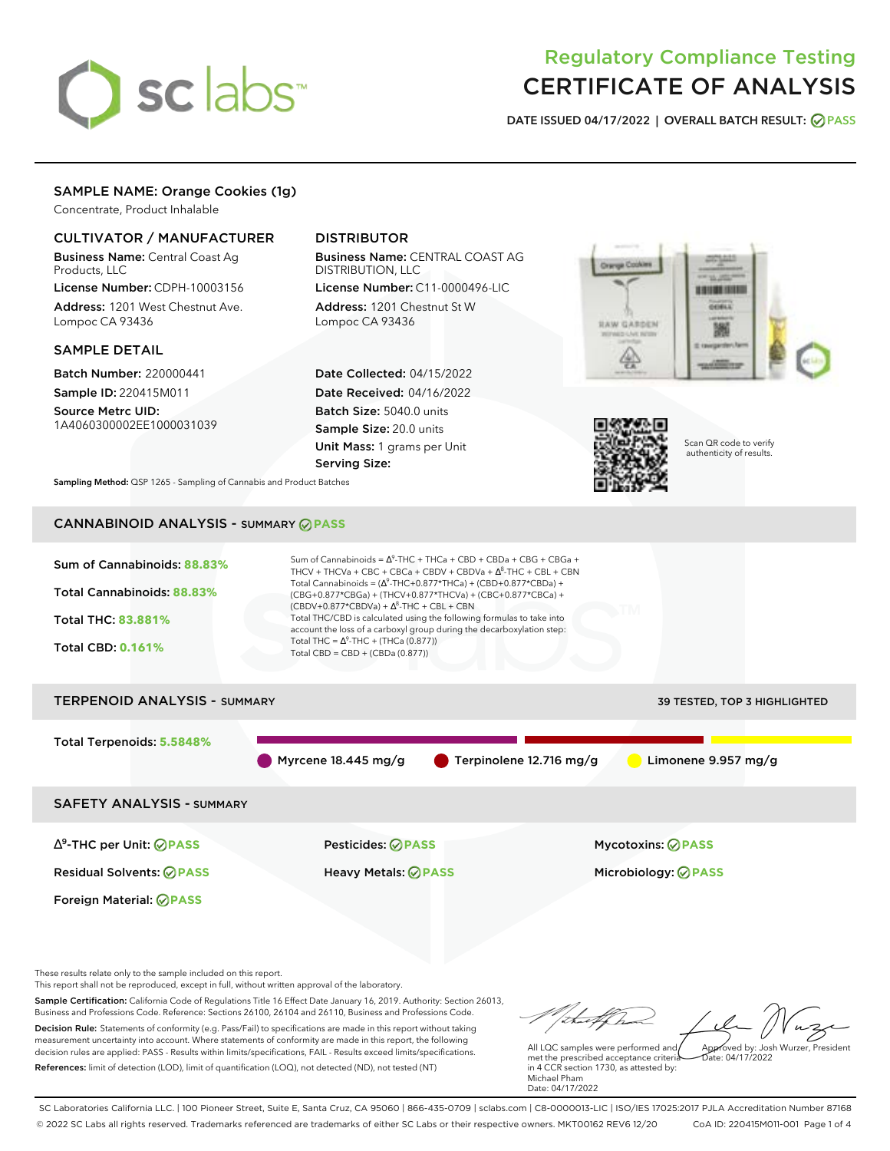

# Regulatory Compliance Testing CERTIFICATE OF ANALYSIS

**DATE ISSUED 04/17/2022 | OVERALL BATCH RESULT: PASS**

# SAMPLE NAME: Orange Cookies (1g)

Concentrate, Product Inhalable

## CULTIVATOR / MANUFACTURER

Business Name: Central Coast Ag Products, LLC

License Number: CDPH-10003156 Address: 1201 West Chestnut Ave. Lompoc CA 93436

### SAMPLE DETAIL

Batch Number: 220000441 Sample ID: 220415M011

Source Metrc UID: 1A4060300002EE1000031039

# DISTRIBUTOR

Business Name: CENTRAL COAST AG DISTRIBUTION, LLC

License Number: C11-0000496-LIC Address: 1201 Chestnut St W Lompoc CA 93436

Date Collected: 04/15/2022 Date Received: 04/16/2022 Batch Size: 5040.0 units Sample Size: 20.0 units Unit Mass: 1 grams per Unit Serving Size:





Scan QR code to verify authenticity of results.

**Sampling Method:** QSP 1265 - Sampling of Cannabis and Product Batches

# CANNABINOID ANALYSIS - SUMMARY **PASS**



Business and Professions Code. Reference: Sections 26100, 26104 and 26110, Business and Professions Code. Decision Rule: Statements of conformity (e.g. Pass/Fail) to specifications are made in this report without taking measurement uncertainty into account. Where statements of conformity are made in this report, the following decision rules are applied: PASS - Results within limits/specifications, FAIL - Results exceed limits/specifications. References: limit of detection (LOD), limit of quantification (LOQ), not detected (ND), not tested (NT)

All LQC samples were performed and Approved by: Josh Wurzer, President Date: 04/17/2022

met the prescribed acceptance criteria in 4 CCR section 1730, as attested by: Michael Pham Date: 04/17/2022

SC Laboratories California LLC. | 100 Pioneer Street, Suite E, Santa Cruz, CA 95060 | 866-435-0709 | sclabs.com | C8-0000013-LIC | ISO/IES 17025:2017 PJLA Accreditation Number 87168 © 2022 SC Labs all rights reserved. Trademarks referenced are trademarks of either SC Labs or their respective owners. MKT00162 REV6 12/20 CoA ID: 220415M011-001 Page 1 of 4